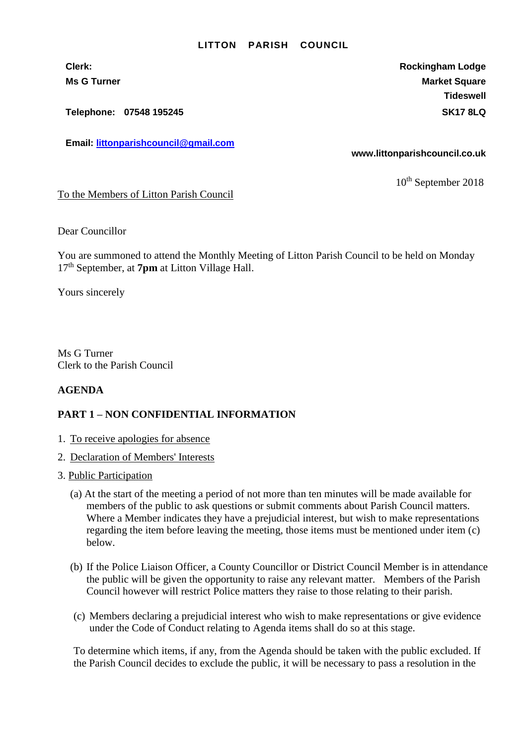## **LITTON PARISH COUNCIL**

**Telephone: 07548 195245 SK17 8LQ**

**Email: [littonparishcouncil@gmail.com](mailto:littonparishcouncil@gmail.com)**

**Clerk: Rockingham Lodge Ms G Turner Market Square** Market Square Market Square Market Square **Tideswell**

**www.littonparishcouncil.co.uk**

10<sup>th</sup> September 2018

To the Members of Litton Parish Council

Dear Councillor

You are summoned to attend the Monthly Meeting of Litton Parish Council to be held on Monday 17 th September, at **7pm** at Litton Village Hall.

Yours sincerely

Ms G Turner Clerk to the Parish Council

## **AGENDA**

## **PART 1 – NON CONFIDENTIAL INFORMATION**

- 1. To receive apologies for absence
- 2. Declaration of Members' Interests
- 3. Public Participation
	- (a) At the start of the meeting a period of not more than ten minutes will be made available for members of the public to ask questions or submit comments about Parish Council matters. Where a Member indicates they have a prejudicial interest, but wish to make representations regarding the item before leaving the meeting, those items must be mentioned under item (c) below.
	- (b) If the Police Liaison Officer, a County Councillor or District Council Member is in attendance the public will be given the opportunity to raise any relevant matter. Members of the Parish Council however will restrict Police matters they raise to those relating to their parish.
	- (c) Members declaring a prejudicial interest who wish to make representations or give evidence under the Code of Conduct relating to Agenda items shall do so at this stage.

To determine which items, if any, from the Agenda should be taken with the public excluded. If the Parish Council decides to exclude the public, it will be necessary to pass a resolution in the